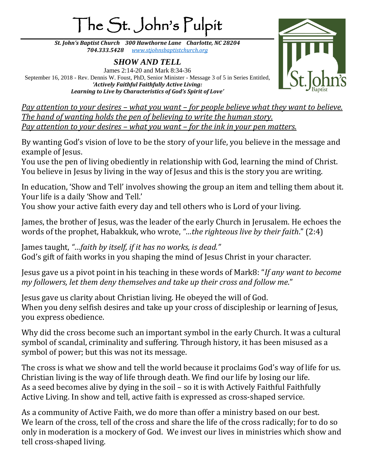## The St. John's Pulpit

*St. John's Baptist Church 300 Hawthorne Lane Charlotte, NC 28204 704.333.5428 [www.stjohnsbaptistchurch.org](http://www.stjohnsbaptistchurch.org/)*

*SHOW AND TELL* James 2:14-20 and Mark 8:34-36 September 16, 2018 - Rev. Dennis W. Foust, PhD, Senior Minister - Message 3 of 5 in Series Entitled, *'Actively Faithful Faithfully Active Living: Learning to Live by Characteristics of God's Spirit of Love'*



*Pay attention to your desires – what you want – for people believe what they want to believe. The hand of wanting holds the pen of believing to write the human story. Pay attention to your desires – what you want – for the ink in your pen matters.*

By wanting God's vision of love to be the story of your life, you believe in the message and example of Jesus.

You use the pen of living obediently in relationship with God, learning the mind of Christ. You believe in Jesus by living in the way of Jesus and this is the story you are writing.

In education, 'Show and Tell' involves showing the group an item and telling them about it. Your life is a daily 'Show and Tell.'

You show your active faith every day and tell others who is Lord of your living.

James, the brother of Jesus, was the leader of the early Church in Jerusalem. He echoes the words of the prophet, Habakkuk, who wrote, *"…the righteous live by their faith*." (2:4)

James taught, *"…faith by itself, if it has no works, is dead."* God's gift of faith works in you shaping the mind of Jesus Christ in your character.

Jesus gave us a pivot point in his teaching in these words of Mark8: "*If any want to become my followers, let them deny themselves and take up their cross and follow me*."

Jesus gave us clarity about Christian living. He obeyed the will of God. When you deny selfish desires and take up your cross of discipleship or learning of Jesus, you express obedience.

Why did the cross become such an important symbol in the early Church. It was a cultural symbol of scandal, criminality and suffering. Through history, it has been misused as a symbol of power; but this was not its message.

The cross is what we show and tell the world because it proclaims God's way of life for us. Christian living is the way of life through death. We find our life by losing our life. As a seed becomes alive by dying in the soil – so it is with Actively Faithful Faithfully Active Living. In show and tell, active faith is expressed as cross-shaped service.

As a community of Active Faith, we do more than offer a ministry based on our best. We learn of the cross, tell of the cross and share the life of the cross radically; for to do so only in moderation is a mockery of God. We invest our lives in ministries which show and tell cross-shaped living.